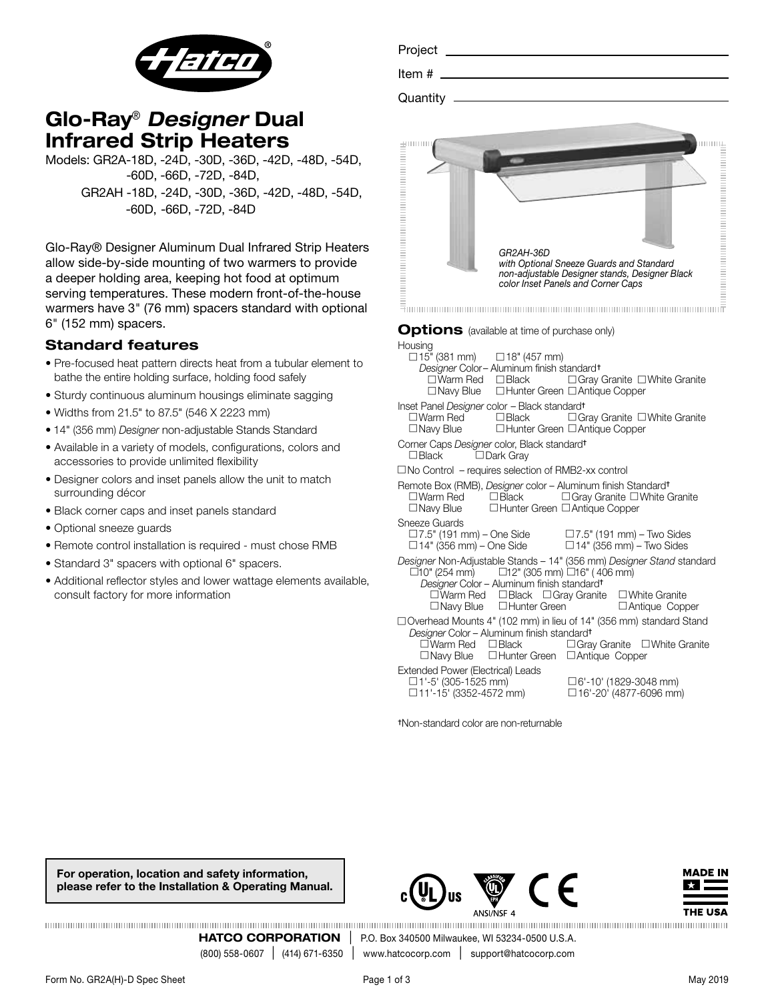

# Glo-Ray® *Designer* Dual Infrared Strip Heaters

Models: GR2A-18D, -24D, -30D, -36D, -42D, -48D, -54D, -60D, -66D, -72D, -84D, GR2AH -18D, -24D, -30D, -36D, -42D, -48D, -54D, -60D, -66D, -72D, -84D

Glo-Ray® Designer Aluminum Dual Infrared Strip Heaters allow side-by-side mounting of two warmers to provide a deeper holding area, keeping hot food at optimum serving temperatures. These modern front-of-the-house warmers have 3" (76 mm) spacers standard with optional 6" (152 mm) spacers.

## Standard features

- Pre-focused heat pattern directs heat from a tubular element to bathe the entire holding surface, holding food safely
- Sturdy continuous aluminum housings eliminate sagging
- Widths from 21.5" to 87.5" (546 X 2223 mm)
- 14" (356 mm) *Designer* non-adjustable Stands Standard
- Available in a variety of models, configurations, colors and accessories to provide unlimited flexibility
- Designer colors and inset panels allow the unit to match surrounding décor
- Black corner caps and inset panels standard
- Optional sneeze guards
- Remote control installation is required must chose RMB
- Standard 3" spacers with optional 6" spacers.
- Additional reflector styles and lower wattage elements available, consult factory for more information

| Project                                               |  |
|-------------------------------------------------------|--|
|                                                       |  |
|                                                       |  |
| GR2AH-36D<br>with Optional Sneeze Guards and Standard |  |

*non-adjustable Designer stands, Designer Black* 

*color Inset Panels and Corner Caps*

 $\bar{=}$  . The communication of the communication of the communication of the communication of  $\bar{\bar{r}}$ 

### **Options** (available at time of purchase only)

Housing<br> $\Box$ 15" (381 mm)  $\Box$ 18" (457 mm) *Designer* Color– Aluminum finish standard†  $\square$  Warm Red  $\square$  Black  $\square$  Gray Granite  $\square$  White Granite  $\square$  Navy Blue  $\square$  Hunter Green  $\square$  Antique Copper Inset Panel *Designer* color – Black standard†  $\Box$  Black  $\Box$  Gray Granite  $\Box$  White Granite  $\square$  Navy Blue  $\square$  Hunter Green  $\square$  Antique Copper Corner Caps *Designer* color, Black standard†  $\Box$  Black  $\Box$  Dark Gray

 $\square$  No Control – requires selection of RMB2-xx control

| Remote Box (RMB), <i>Designer</i> color - Aluminum finish Standard <sup>+</sup>    |                 |                                                                     |  |  |  |
|------------------------------------------------------------------------------------|-----------------|---------------------------------------------------------------------|--|--|--|
| $\square$ Warm Red                                                                 | $\square$ Black | $\Box$ Gray Granite $\Box$ White Granite                            |  |  |  |
| $\Box$ Navy Blue                                                                   |                 | $\Box$ Hunter Green $\Box$ Antique Copper                           |  |  |  |
| Sneeze Guards<br>$\Box$ 7.5" (191 mm) – One Side<br>$\Box$ 14" (356 mm) – One Side |                 | $\Box$ 7.5" (191 mm) – Two Sides<br>$\Box$ 14" (356 mm) - Two Sides |  |  |  |

*Designer* Non-Adjustable Stands – 14" (356 mm) *Designer Stand* standard  $\Box$ 10" (254 mm)  $\Box$ 12" (305 mm)  $\Box$ 16" (406 mm)

- *Designer* Color Aluminum finish standard†  $\square$ Warm Red  $\square$  Black  $\square$  Gray Granite  $\square$  White Granite  $\square$  Navy Blue  $\square$  Hunter Green  $\square$  Antique Copper □ Overhead Mounts 4" (102 mm) in lieu of 14" (356 mm) standard Stand
- *Designer* Color Aluminum finish standard†  $\Box$  Gray Granite  $\Box$  White Granite  $\Box$  Navy Blue  $\Box$  Hunter Green  $\Box$  Antique Copper
- Extended Power (Electrical) Leads<br>  $\Box$ 1'-5' (305-1525 mm)
- 

 $\Box$ 1'-5' (305-1525 mm)  $\Box$ 6'-10' (1829-3048 mm)<br> $\Box$ 11'-15' (3352-4572 mm)  $\Box$ 16'-20' (4877-6096 mm  $\Box$  16'-20' (4877-6096 mm)

†Non-standard color are non-returnable

For operation, location and safety information, please refer to the Installation & Operating Manual.





**HATCO CORPORATION** | P.O. Box 340500 Milwaukee, WI 53234-0500 U.S.A.<br>(800) 558-0607 | (414) 671-6350 | www.hatcocorp.com | support@hatcocorp.com www.hatcocorp.com | support@hatcocorp.com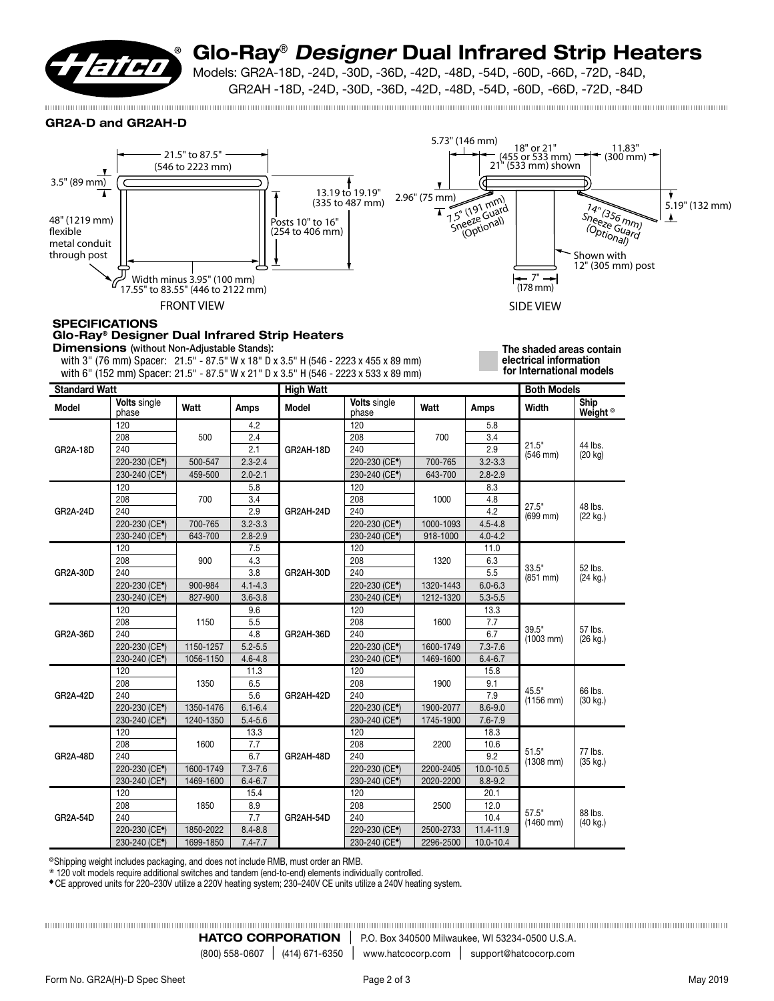

# Glo-Ray® *Designer* Dual Infrared Strip Heaters

Models: GR2A-18D, -24D, -30D, -36D, -42D, -48D, -54D, -60D, -66D, -72D, -84D,

GR2AH -18D, -24D, -30D, -36D, -42D, -48D, -54D, -60D, -66D, -72D, -84D

GR2A-D and GR2AH-D



**SPECIFICATIONS** 

## Glo-Ray® Designer Dual Infrared Strip Heaters

Dimensions (without Non-Adjustable Stands):

 with 3" (76 mm) Spacer: 21.5" - 87.5" W x 18" D x 3.5" H (546 - 2223 x 455 x 89 mm) with 6" (152 mm) Spacer: 21.5" - 87.5" W x 21" D x 3.5" H (546 - 2223 x 533 x 89 mm) The shaded areas contain electrical information for International models

| <b>Standard Watt</b> |                              |           | <b>High Watt</b> |           |                              |           | <b>Both Models</b> |                        |                                    |
|----------------------|------------------------------|-----------|------------------|-----------|------------------------------|-----------|--------------------|------------------------|------------------------------------|
| <b>Model</b>         | <b>Volts single</b><br>phase | Watt      | Amps             | Model     | <b>Volts</b> single<br>phase | Watt      | Amps               | <b>Width</b>           | <b>Ship</b><br>Weight <sup>o</sup> |
| <b>GR2A-18D</b>      | 120                          |           | 4.2              | GR2AH-18D | 120                          |           | 5.8                | 21.5"<br>$(546$ mm $)$ |                                    |
|                      | 208                          | 500       | 2.4              |           | 208                          | 700       | 3.4                |                        |                                    |
|                      | 240                          |           | 2.1              |           | 240                          |           | 2.9                |                        | 44 lbs.<br>$(20 \text{ kg})$       |
|                      | 220-230 (CE <sup>*</sup> )   | 500-547   | $2.3 - 2.4$      |           | 220-230 (CE <sup>*</sup> )   | 700-765   | $3.2 - 3.3$        |                        |                                    |
|                      | 230-240 (CE <sup>*</sup> )   | 459-500   | $2.0 - 2.1$      |           | 230-240 (CE <sup>*</sup> )   | 643-700   | $2.8 - 2.9$        |                        |                                    |
|                      | 120                          |           | 5.8              |           | 120                          |           | 8.3                | 27.5"<br>(699 mm)      | 48 lbs.<br>(22 kg.)                |
|                      | 208                          | 700       | 3.4              |           | 208                          | 1000      | 4.8                |                        |                                    |
| <b>GR2A-24D</b>      | 240                          |           | 2.9              | GR2AH-24D | 240                          |           | 4.2                |                        |                                    |
|                      | 220-230 (CE <sup>*</sup> )   | 700-765   | $3.2 - 3.3$      |           | 220-230 (CE <sup>*</sup> )   | 1000-1093 | $4.5 - 4.8$        |                        |                                    |
|                      | 230-240 (CE <sup>*</sup> )   | 643-700   | $2.8 - 2.9$      |           | 230-240 (CE <sup>*</sup> )   | 918-1000  | $4.0 - 4.2$        |                        |                                    |
|                      | 120                          |           | 7.5              |           | 120                          |           | 11.0               | 33.5"<br>$(851$ mm $)$ | 52 lbs.<br>(24 kg.)                |
|                      | 208                          | 900       | 4.3              |           | 208                          | 1320      | 6.3                |                        |                                    |
| <b>GR2A-30D</b>      | 240                          |           | 3.8              | GR2AH-30D | 240                          |           | 5.5                |                        |                                    |
|                      | 220-230 (CE <sup>*</sup> )   | 900-984   | $4.1 - 4.3$      |           | 220-230 (CE <sup>*</sup> )   | 1320-1443 | $6.0 - 6.3$        |                        |                                    |
|                      | 230-240 (CE <sup>*</sup> )   | 827-900   | $3.6 - 3.8$      |           | 230-240 (CE <sup>*</sup> )   | 1212-1320 | $5.3 - 5.5$        |                        |                                    |
|                      | 120                          |           | 9.6              |           | 120                          |           | 13.3               |                        | 57 lbs.<br>(26 kg.)                |
|                      | 208                          | 1150      | 5.5              | GR2AH-36D | 208                          | 1600      | 7.7                | 39.5"                  |                                    |
| <b>GR2A-36D</b>      | 240                          |           | 4.8              |           | 240                          |           | 6.7                | $(1003$ mm)            |                                    |
|                      | 220-230 (CE <sup>*</sup> )   | 1150-1257 | $5.2 - 5.5$      |           | 220-230 (CE <sup>*</sup> )   | 1600-1749 | $7.3 - 7.6$        |                        |                                    |
|                      | 230-240 (CE <sup>*</sup> )   | 1056-1150 | $4.6 - 4.8$      |           | 230-240 (CE <sup>*</sup> )   | 1469-1600 | $6.4 - 6.7$        |                        |                                    |
|                      | 120                          |           | 11.3             | GR2AH-42D | 120                          |           | 15.8               | 45.5"<br>$(1156$ mm)   | 66 lbs.<br>(30 kg.)                |
|                      | 208                          | 1350      | 6.5              |           | 208                          | 1900      | 9.1                |                        |                                    |
| <b>GR2A-42D</b>      | 240                          |           | 5.6              |           | 240                          |           | 7.9                |                        |                                    |
|                      | 220-230 (CE <sup>*</sup> )   | 1350-1476 | $6.1 - 6.4$      |           | 220-230 (CE <sup>*</sup> )   | 1900-2077 | $8.6 - 9.0$        |                        |                                    |
|                      | 230-240 (CE <sup>+</sup> )   | 1240-1350 | $5.4 - 5.6$      |           | 230-240 (CE <sup>*</sup> )   | 1745-1900 | $7.6 - 7.9$        |                        |                                    |
|                      | 120                          |           | 13.3             |           | 120                          | 2200      | 18.3               | 51.5"                  | 77 lbs.<br>$(35 \text{ kg.})$      |
|                      | 208                          | 1600      | 7.7              |           | 208                          |           | 10.6               |                        |                                    |
| <b>GR2A-48D</b>      | 240                          |           | 6.7              | GR2AH-48D | 240                          |           | 9.2                | $(1308$ mm $)$         |                                    |
|                      | 220-230 (CE <sup>*</sup> )   | 1600-1749 | $7.3 - 7.6$      |           | 220-230 (CE <sup>*</sup> )   | 2200-2405 | $10.0 - 10.5$      |                        |                                    |
|                      | 230-240 (CE <sup>*</sup> )   | 1469-1600 | $6.4 - 6.7$      |           | 230-240 (CE <sup>*</sup> )   | 2020-2200 | $8.8 - 9.2$        |                        |                                    |
|                      | 120                          |           | 15.4             |           | 120                          |           | 20.1               | 57.5"                  | 88 lbs.<br>$(40 \text{ kg.})$      |
|                      | 208                          | 1850      | 8.9              | GR2AH-54D | 208                          | 2500      | 12.0               |                        |                                    |
| <b>GR2A-54D</b>      | 240                          |           | 7.7              |           | 240                          |           | 10.4               | $(1460$ mm)            |                                    |
|                      | 220-230 (CE <sup>*</sup> )   | 1850-2022 | $8.4 - 8.8$      |           | 220-230 (CE <sup>*</sup> )   | 2500-2733 | 11.4-11.9          |                        |                                    |
|                      | 230-240 (CE <sup>*</sup> )   | 1699-1850 | $7.4 - 7.7$      |           | 230-240 (CE <sup>*</sup> )   | 2296-2500 | 10.0-10.4          |                        |                                    |

❂Shipping weight includes packaging, and does not include RMB, must order an RMB.

❀ 120 volt models require additional switches and tandem (end-to-end) elements individually controlled.

◆ CE approved units for 220–230V utilize a 220V heating system; 230–240V CE units utilize a 240V heating system.

HATCO CORPORATION | P.O. Box 340500 Milwaukee, WI 53234-0500 U.S.A. (800) 558-0607 l (414) 671-6350 <sup>l</sup> www.hatcocorp.com <sup>l</sup> support@hatcocorp.com